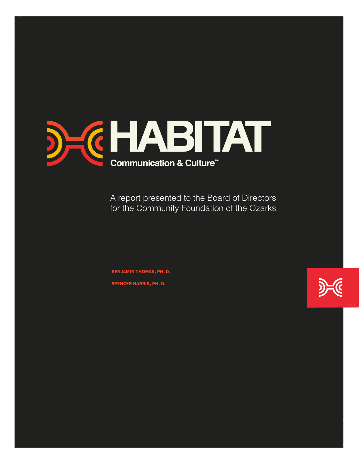

A report presented to the Board of Directors for the Community Foundation of the Ozarks

**BENJAMIN THOMAS, PH. D. SPENCER HARRIS, PH. D.**

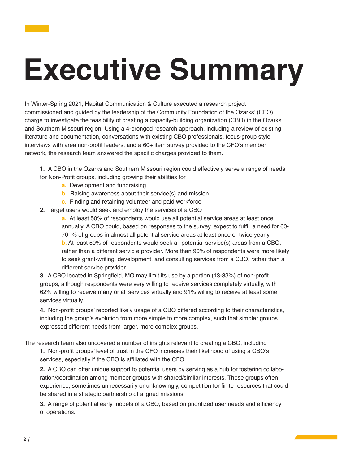# **Executive Summary**

In Winter-Spring 2021, Habitat Communication & Culture executed a research project commissioned and guided by the leadership of the Community Foundation of the Ozarks' (CFO) charge to investigate the feasibility of creating a capacity-building organization (CBO) in the Ozarks and Southern Missouri region. Using a 4-pronged research approach, including a review of existing literature and documentation, conversations with existing CBO professionals, focus-group style interviews with area non-profit leaders, and a 60+ item survey provided to the CFO's member network, the research team answered the specific charges provided to them.

**1.** A CBO in the Ozarks and Southern Missouri region could effectively serve a range of needs for Non-Profit groups, including growing their abilities for

- **a.** Development and fundraising
- **b.** Raising awareness about their service(s) and mission
- **c.** Finding and retaining volunteer and paid workforce
- **2.** Target users would seek and employ the services of a CBO

**a.** At least 50% of respondents would use all potential service areas at least once annually. A CBO could, based on responses to the survey, expect to fulfill a need for 60- 70+% of groups in almost all potential service areas at least once or twice yearly. **b.** At least 50% of respondents would seek all potential service(s) areas from a CBO, rather than a different servic e provider. More than 90% of respondents were more likely to seek grant-writing, development, and consulting services from a CBO, rather than a different service provider.

**3.** A CBO located in Springfield, MO may limit its use by a portion (13-33%) of non-profit groups, although respondents were very willing to receive services completely virtually, with 62% willing to receive many or all services virtually and 91% willing to receive at least some services virtually.

**4.** Non-profit groups' reported likely usage of a CBO differed according to their characteristics, including the group's evolution from more simple to more complex, such that simpler groups expressed different needs from larger, more complex groups.

The research team also uncovered a number of insights relevant to creating a CBO, including

**1.** Non-profit groups' level of trust in the CFO increases their likelihood of using a CBO's services, especially if the CBO is affiliated with the CFO.

**2.** A CBO can offer unique support to potential users by serving as a hub for fostering collaboration/coordination among member groups with shared/similar interests. These groups often experience, sometimes unnecessarily or unknowingly, competition for finite resources that could be shared in a strategic partnership of aligned missions.

**3.** A range of potential early models of a CBO, based on prioritized user needs and efficiency of operations.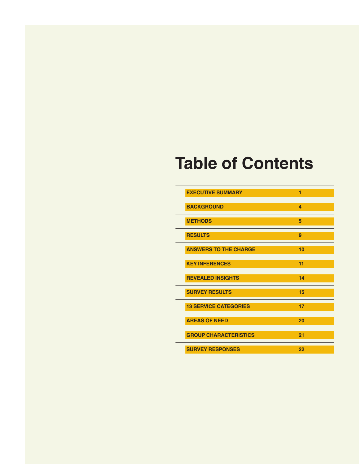## **Table of Contents**

| <b>EXECUTIVE SUMMARY</b>     | 1  |
|------------------------------|----|
| <b>BACKGROUND</b>            | 4  |
| <b>METHODS</b>               | 5  |
| <b>RESULTS</b>               | 9  |
| <b>ANSWERS TO THE CHARGE</b> | 10 |
| <b>KEY INFERENCES</b>        | 11 |
| <b>REVEALED INSIGHTS</b>     | 14 |
| <b>SURVEY RESULTS</b>        | 15 |
| <b>13 SERVICE CATEGORIES</b> | 17 |
| <b>AREAS OF NEED</b>         | 20 |
| <b>GROUP CHARACTERISTICS</b> | 21 |
| <b>SURVEY RESPONSES</b>      | 22 |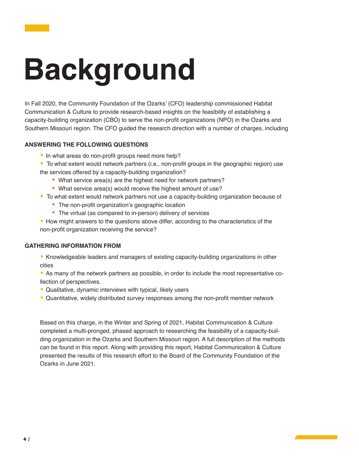# **Background**

In Fall 2020, the Community Foundation of the Ozarks' (CFO) leadership commissioned Habitat Communication & Culture to provide research-based insights on the feasibility of establishing a capacity-building organization (CBO) to serve the non-profit organizations (NPO) in the Ozarks and Southern Missouri region. The CFO guided the research direction with a number of charges, including

#### **ANSWERING THE FOLLOWING QUESTIONS**

- In what areas do non-profit groups need more help?
- To what extent would network partners (i.e., non-profit groups in the geographic region) use the services offered by a capacity-building organization?
	- ‣ What service area(s) are the highest need for network partners?
	- ‣ What service area(s) would receive the highest amount of use?
- To what extent would network partners not use a capacity-building organization because of
	- The non-profit organization's geographic location
	- The virtual (as compared to in-person) delivery of services
- How might answers to the questions above differ, according to the characteristics of the non-profit organization receiving the service?

#### **GATHERING INFORMATION FROM**

- Knowledgeable leaders and managers of existing capacity-building organizations in other cities
- As many of the network partners as possible, in order to include the most representative collection of perspectives.
- Qualitative, dynamic interviews with typical, likely users
- Quantitative, widely distributed survey responses among the non-profit member network

Based on this charge, in the Winter and Spring of 2021, Habitat Communication & Culture completed a multi-pronged, phased approach to researching the feasibility of a capacity-building organization in the Ozarks and Southern Missouri region. A full description of the methods can be found in this report. Along with providing this report, Habitat Communication & Culture presented the results of this research effort to the Board of the Community Foundation of the Ozarks in June 2021.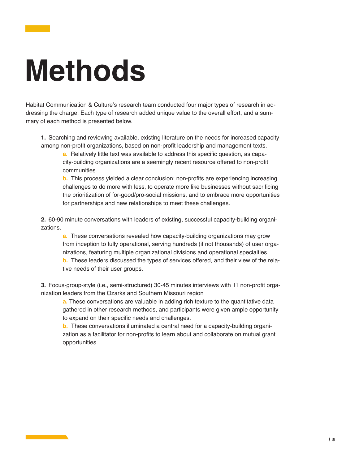# **Methods**

Habitat Communication & Culture's research team conducted four major types of research in addressing the charge. Each type of research added unique value to the overall effort, and a summary of each method is presented below.

**1.** Searching and reviewing available, existing literature on the needs for increased capacity among non-profit organizations, based on non-profit leadership and management texts.

**a.** Relatively little text was available to address this specific question, as capacity-building organizations are a seemingly recent resource offered to non-profit communities.

**b.** This process yielded a clear conclusion: non-profits are experiencing increasing challenges to do more with less, to operate more like businesses without sacrificing the prioritization of for-good/pro-social missions, and to embrace more opportunities for partnerships and new relationships to meet these challenges.

**2.** 60-90 minute conversations with leaders of existing, successful capacity-building organizations.

**a.** These conversations revealed how capacity-building organizations may grow from inception to fully operational, serving hundreds (if not thousands) of user organizations, featuring multiple organizational divisions and operational specialties.

**b.** These leaders discussed the types of services offered, and their view of the relative needs of their user groups.

**3.** Focus-group-style (i.e., semi-structured) 30-45 minutes interviews with 11 non-profit organization leaders from the Ozarks and Southern Missouri region

**a.** These conversations are valuable in adding rich texture to the quantitative data gathered in other research methods, and participants were given ample opportunity to expand on their specific needs and challenges.

**b.** These conversations illuminated a central need for a capacity-building organization as a facilitator for non-profits to learn about and collaborate on mutual grant opportunities.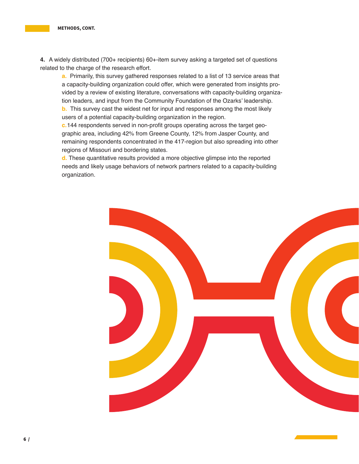**4.** A widely distributed (700+ recipients) 60+-item survey asking a targeted set of questions related to the charge of the research effort.

**a.** Primarily, this survey gathered responses related to a list of 13 service areas that a capacity-building organization could offer, which were generated from insights provided by a review of existing literature, conversations with capacity-building organization leaders, and input from the Community Foundation of the Ozarks' leadership.

**b.** This survey cast the widest net for input and responses among the most likely users of a potential capacity-building organization in the region.

**c.**144 respondents served in non-profit groups operating across the target geographic area, including 42% from Greene County, 12% from Jasper County, and remaining respondents concentrated in the 417-region but also spreading into other regions of Missouri and bordering states.

**d.** These quantitative results provided a more objective glimpse into the reported needs and likely usage behaviors of network partners related to a capacity-building organization.

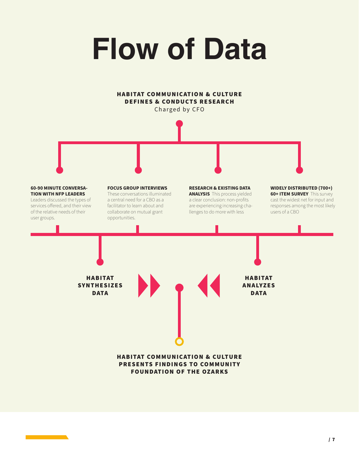# **Flow of Data**

HABITAT COMMUNICATION & CULTURE

#### DEFINES & CONDUCTS RESEARCH Charged by CFO **60-90 MINUTE CONVERSA-TION WITH NFP LEADERS**  Leaders discussed the types of services offered, and their view of the relative needs of their user groups. **FOCUS GROUP INTERVIEWS**  These conversations illuminated a central need for a CBO as a facilitator to learn about and collaborate on mutual grant opportunities. **RESEARCH & EXISTING DATA ANALYSIS** This process yielded a clear conclusion: non-profits are experiencing increasing challenges to do more with less **WIDELY DISTRIBUTED (700+) 60+ ITEM SURVEY** This survey cast the widest net for input and responses among the most likely users of a CBO HABITAT **SYNTHESIZES DATA** HABITAT **ANALYZES DATA** HABITAT COMMUNICATION & CULTURE PRESENTS FINDINGS TO COMMUNITY FOUNDATION OF THE OZARKS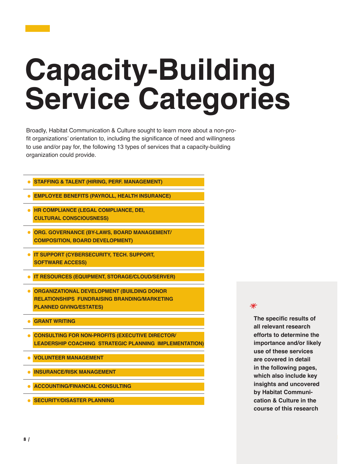# **Capacity-Building Service Categories**

Broadly, Habitat Communication & Culture sought to learn more about a non-profit organizations' orientation to, including the significance of need and willingness to use and/or pay for, the following 13 types of services that a capacity-building organization could provide.

- **• STAFFING & TALENT (HIRING, PERF. MANAGEMENT)**
- **• EMPLOYEE BENEFITS (PAYROLL, HEALTH INSURANCE)**
- **• HR COMPLIANCE (LEGAL COMPLIANCE, DEI, CULTURAL CONSCIOUSNESS)**
- **• ORG. GOVERNANCE (BY-LAWS, BOARD MANAGEMENT/ COMPOSITION, BOARD DEVELOPMENT)**
- **• IT SUPPORT (CYBERSECURITY, TECH. SUPPORT, SOFTWARE ACCESS)**
- **• IT RESOURCES (EQUIPMENT, STORAGE/CLOUD/SERVER)**
- **• ORGANIZATIONAL DEVELOPMENT (BUILDING DONOR RELATIONSHIPS FUNDRAISING BRANDING/MARKETING PLANNED GIVING/ESTATES)**
- **• GRANT WRITING**
- **• CONSULTING FOR NON-PROFITS (EXECUTIVE DIRECTOR/ LEADERSHIP COACHING STRATEGIC PLANNING IMPLEMENTATION)**
- **• VOLUNTEER MANAGEMENT**
- **• INSURANCE/RISK MANAGEMENT**
- **• ACCOUNTING/FINANCIAL CONSULTING**
- **• SECURITY/DISASTER PLANNING**

#### $\ast$

**The specific results of all relevant research efforts to determine the importance and/or likely use of these services are covered in detail in the following pages, which also include key insights and uncovered by Habitat Communication & Culture in the course of this research**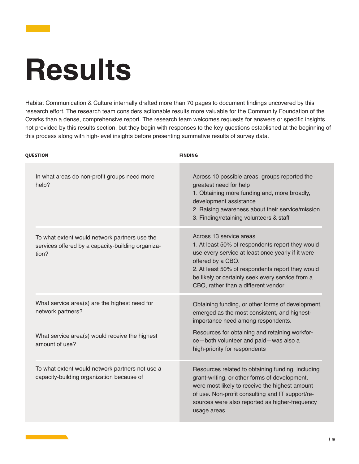# **Results**

Habitat Communication & Culture internally drafted more than 70 pages to document findings uncovered by this research effort. The research team considers actionable results more valuable for the Community Foundation of the Ozarks than a dense, comprehensive report. The research team welcomes requests for answers or specific insights not provided by this results section, but they begin with responses to the key questions established at the beginning of this process along with high-level insights before presenting summative results of survey data.

| <b>QUESTION</b>                                                                                             | <b>FINDING</b>                                                                                                                                                                                                                                                                                       |
|-------------------------------------------------------------------------------------------------------------|------------------------------------------------------------------------------------------------------------------------------------------------------------------------------------------------------------------------------------------------------------------------------------------------------|
| In what areas do non-profit groups need more<br>help?                                                       | Across 10 possible areas, groups reported the<br>greatest need for help<br>1. Obtaining more funding and, more broadly,<br>development assistance<br>2. Raising awareness about their service/mission<br>3. Finding/retaining volunteers & staff                                                     |
| To what extent would network partners use the<br>services offered by a capacity-building organiza-<br>tion? | Across 13 service areas<br>1. At least 50% of respondents report they would<br>use every service at least once yearly if it were<br>offered by a CBO.<br>2. At least 50% of respondents report they would<br>be likely or certainly seek every service from a<br>CBO, rather than a different vendor |
| What service area(s) are the highest need for<br>network partners?                                          | Obtaining funding, or other forms of development,<br>emerged as the most consistent, and highest-<br>importance need among respondents.                                                                                                                                                              |
| What service area(s) would receive the highest<br>amount of use?                                            | Resources for obtaining and retaining workfor-<br>ce-both volunteer and paid-was also a<br>high-priority for respondents                                                                                                                                                                             |
| To what extent would network partners not use a<br>capacity-building organization because of                | Resources related to obtaining funding, including<br>grant-writing, or other forms of development,<br>were most likely to receive the highest amount<br>of use. Non-profit consulting and IT support/re-<br>sources were also reported as higher-frequency<br>usage areas.                           |

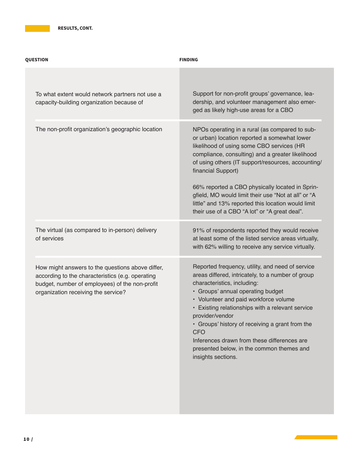| <b>QUESTION</b>                                                                                                                                                                               | <b>FINDING</b>                                                                                                                                                                                                                                                                                                                                                                                                                                                                               |
|-----------------------------------------------------------------------------------------------------------------------------------------------------------------------------------------------|----------------------------------------------------------------------------------------------------------------------------------------------------------------------------------------------------------------------------------------------------------------------------------------------------------------------------------------------------------------------------------------------------------------------------------------------------------------------------------------------|
| To what extent would network partners not use a<br>capacity-building organization because of                                                                                                  | Support for non-profit groups' governance, lea-<br>dership, and volunteer management also emer-<br>ged as likely high-use areas for a CBO                                                                                                                                                                                                                                                                                                                                                    |
| The non-profit organization's geographic location                                                                                                                                             | NPOs operating in a rural (as compared to sub-<br>or urban) location reported a somewhat lower<br>likelihood of using some CBO services (HR<br>compliance, consulting) and a greater likelihood<br>of using others (IT support/resources, accounting/<br>financial Support)<br>66% reported a CBO physically located in Sprin-<br>gfield, MO would limit their use "Not at all" or "A<br>little" and 13% reported this location would limit<br>their use of a CBO "A lot" or "A great deal". |
| The virtual (as compared to in-person) delivery<br>of services                                                                                                                                | 91% of respondents reported they would receive<br>at least some of the listed service areas virtually,<br>with 62% willing to receive any service virtually.                                                                                                                                                                                                                                                                                                                                 |
| How might answers to the questions above differ,<br>according to the characteristics (e.g. operating<br>budget, number of employees) of the non-profit<br>organization receiving the service? | Reported frequency, utility, and need of service<br>areas differed, intricately, to a number of group<br>characteristics, including:<br>• Groups' annual operating budget<br>• Volunteer and paid workforce volume<br>• Existing relationships with a relevant service<br>provider/vendor<br>• Groups' history of receiving a grant from the<br><b>CFO</b><br>Inferences drawn from these differences are<br>presented below, in the common themes and<br>insights sections.                 |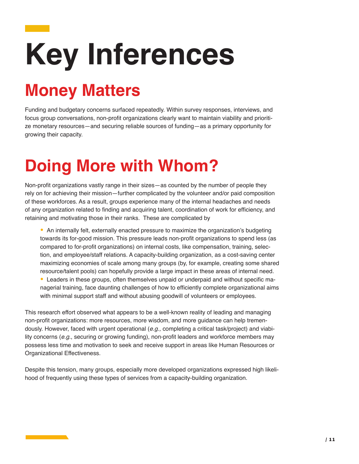# **Key Inferences**

## **Money Matters**

Funding and budgetary concerns surfaced repeatedly. Within survey responses, interviews, and focus group conversations, non-profit organizations clearly want to maintain viability and prioritize monetary resources—and securing reliable sources of funding—as a primary opportunity for growing their capacity.

## **Doing More with Whom?**

Non-profit organizations vastly range in their sizes—as counted by the number of people they rely on for achieving their mission—further complicated by the volunteer and/or paid composition of these workforces. As a result, groups experience many of the internal headaches and needs of any organization related to finding and acquiring talent, coordination of work for efficiency, and retaining and motivating those in their ranks. These are complicated by

• An internally felt, externally enacted pressure to maximize the organization's budgeting towards its for-good mission. This pressure leads non-profit organizations to spend less (as compared to for-profit organizations) on internal costs, like compensation, training, selection, and employee/staff relations. A capacity-building organization, as a cost-saving center maximizing economies of scale among many groups (by, for example, creating some shared resource/talent pools) can hopefully provide a large impact in these areas of internal need. • Leaders in these groups, often themselves unpaid or underpaid and without specific managerial training, face daunting challenges of how to efficiently complete organizational aims with minimal support staff and without abusing goodwill of volunteers or employees.

This research effort observed what appears to be a well-known reality of leading and managing non-profit organizations: more resources, more wisdom, and more guidance can help tremendously. However, faced with urgent operational (*e.g.,* completing a critical task/project) and viability concerns (*e.g.*, securing or growing funding), non-profit leaders and workforce members may possess less time and motivation to seek and receive support in areas like Human Resources or Organizational Effectiveness.

Despite this tension, many groups, especially more developed organizations expressed high likelihood of frequently using these types of services from a capacity-building organization.

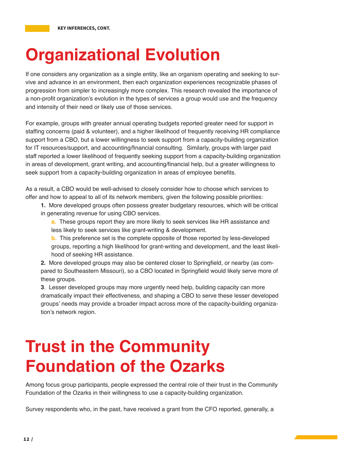## **Organizational Evolution**

If one considers any organization as a single entity, like an organism operating and seeking to survive and advance in an environment, then each organization experiences recognizable phases of progression from simpler to increasingly more complex. This research revealed the importance of a non-profit organization's evolution in the types of services a group would use and the frequency and intensity of their need or likely use of those services.

For example, groups with greater annual operating budgets reported greater need for support in staffing concerns (paid & volunteer), and a higher likelihood of frequently receiving HR compliance support from a CBO, but a lower willingness to seek support from a capacity-building organization for IT resources/support, and accounting/financial consulting. Similarly, groups with larger paid staff reported a lower likelihood of frequently seeking support from a capacity-building organization in areas of development, grant writing, and accounting/financial help, but a greater willingness to seek support from a capacity-building organization in areas of employee benefits.

As a result, a CBO would be well-advised to closely consider how to choose which services to offer and how to appeal to all of its network members, given the following possible priorities:

**1.** More developed groups often possess greater budgetary resources, which will be critical in generating revenue for using CBO services.

**a.** These groups report they are more likely to seek services like HR assistance and less likely to seek services like grant-writing & development.

**b.** This preference set is the complete opposite of those reported by less-developed groups, reporting a high likelihood for grant-writing and development, and the least likelihood of seeking HR assistance.

**2.** More developed groups may also be centered closer to Springfield, or nearby (as compared to Southeastern Missouri), so a CBO located in Springfield would likely serve more of these groups.

**3**. Lesser developed groups may more urgently need help, building capacity can more dramatically impact their effectiveness, and shaping a CBO to serve these lesser developed groups' needs may provide a broader impact across more of the capacity-building organization's network region.

## **Trust in the Community Foundation of the Ozarks**

Among focus group participants, people expressed the central role of their trust in the Community Foundation of the Ozarks in their willingness to use a capacity-building organization.

Survey respondents who, in the past, have received a grant from the CFO reported, generally, a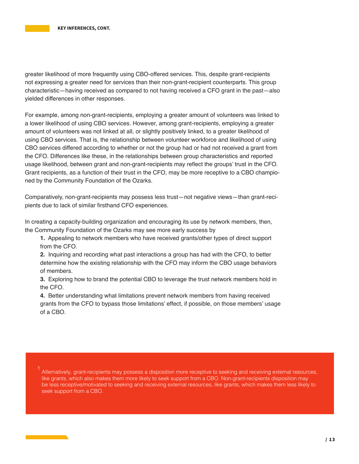greater likelihood of more frequently using CBO-offered services. This, despite grant-recipients not expressing a greater need for services than their non-grant-recipient counterparts. This group characteristic—having received as compared to not having received a CFO grant in the past—also yielded differences in other responses.

For example, among non-grant-recipients, employing a greater amount of volunteers was linked to a lower likelihood of using CBO services. However, among grant-recipients, employing a greater amount of volunteers was not linked at all, or slightly positively linked, to a greater likelihood of using CBO services. That is, the relationship between volunteer workforce and likelihood of using CBO services differed according to whether or not the group had or had not received a grant from the CFO. Differences like these, in the relationships between group characteristics and reported usage likelihood, between grant and non-grant-recipients may reflect the groups' trust in the CFO. Grant recipients, as a function of their trust in the CFO, may be more receptive to a CBO championed by the Community Foundation of the Ozarks.

Comparatively, non-grant-recipients may possess less trust—not negative views—than grant-recipients due to lack of similar firsthand CFO experiences.

In creating a capacity-building organization and encouraging its use by network members, then, the Community Foundation of the Ozarks may see more early success by

**1.** Appealing to network members who have received grants/other types of direct support from the CFO.

**2.** Inquiring and recording what past interactions a group has had with the CFO, to better determine how the existing relationship with the CFO may inform the CBO usage behaviors of members.

**3.** Exploring how to brand the potential CBO to leverage the trust network members hold in the CFO.

**4.** Better understanding what limitations prevent network members from having received grants from the CFO to bypass those limitations' effect, if possible, on those members' usage of a CBO.

Alternatively, grant-recipients may possess a disposition more receptive to seeking and receiving external resources, like grants, which also makes them more likely to seek support from a CBO. Non-grant-recipients disposition may be less receptive/motivated to seeking and receiving external resources, like grants, which makes them less likely to seek support from a CBO.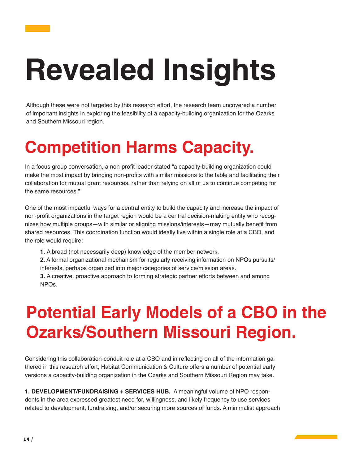# **Revealed Insights**

Although these were not targeted by this research effort, the research team uncovered a number of important insights in exploring the feasibility of a capacity-building organization for the Ozarks and Southern Missouri region.

## **Competition Harms Capacity.**

In a focus group conversation, a non-profit leader stated "a capacity-building organization could make the most impact by bringing non-profits with similar missions to the table and facilitating their collaboration for mutual grant resources, rather than relying on all of us to continue competing for the same resources."

One of the most impactful ways for a central entity to build the capacity and increase the impact of non-profit organizations in the target region would be a central decision-making entity who recognizes how multiple groups—with similar or aligning missions/interests—may mutually benefit from shared resources. This coordination function would ideally live within a single role at a CBO, and the role would require:

**1.** A broad (not necessarily deep) knowledge of the member network.

**2.** A formal organizational mechanism for regularly receiving information on NPOs pursuits/ interests, perhaps organized into major categories of service/mission areas.

**3.** A creative, proactive approach to forming strategic partner efforts between and among NPOs.

## **Potential Early Models of a CBO in the Ozarks/Southern Missouri Region.**

Considering this collaboration-conduit role at a CBO and in reflecting on all of the information gathered in this research effort, Habitat Communication & Culture offers a number of potential early versions a capacity-building organization in the Ozarks and Southern Missouri Region may take.

**1. DEVELOPMENT/FUNDRAISING + SERVICES HUB.** A meaningful volume of NPO respondents in the area expressed greatest need for, willingness, and likely frequency to use services related to development, fundraising, and/or securing more sources of funds. A minimalist approach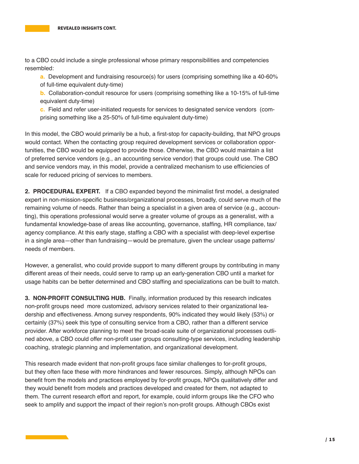to a CBO could include a single professional whose primary responsibilities and competencies resembled:

**a.** Development and fundraising resource(s) for users (comprising something like a 40-60% of full-time equivalent duty-time)

**b.** Collaboration-conduit resource for users (comprising something like a 10-15% of full-time equivalent duty-time)

**c.** Field and refer user-initiated requests for services to designated service vendors (comprising something like a 25-50% of full-time equivalent duty-time)

In this model, the CBO would primarily be a hub, a first-stop for capacity-building, that NPO groups would contact. When the contacting group required development services or collaboration opportunities, the CBO would be equipped to provide those. Otherwise, the CBO would maintain a list of preferred service vendors (e.g., an accounting service vendor) that groups could use. The CBO and service vendors may, in this model, provide a centralized mechanism to use efficiencies of scale for reduced pricing of services to members.

**2. PROCEDURAL EXPERT.** If a CBO expanded beyond the minimalist first model, a designated expert in non-mission-specific business/organizational processes, broadly, could serve much of the remaining volume of needs. Rather than being a specialist in a given area of service (e.g., accounting), this operations professional would serve a greater volume of groups as a generalist, with a fundamental knowledge-base of areas like accounting, governance, staffing, HR compliance, tax/ agency compliance. At this early stage, staffing a CBO with a specialist with deep-level expertise in a single area—other than fundraising—would be premature, given the unclear usage patterns/ needs of members.

However, a generalist, who could provide support to many different groups by contributing in many different areas of their needs, could serve to ramp up an early-generation CBO until a market for usage habits can be better determined and CBO staffing and specializations can be built to match.

**3. NON-PROFIT CONSULTING HUB.** Finally, information produced by this research indicates non-profit groups need more customized, advisory services related to their organizational leadership and effectiveness. Among survey respondents, 90% indicated they would likely (53%) or certainly (37%) seek this type of consulting service from a CBO, rather than a different service provider. After workforce planning to meet the broad-scale suite of organizational processes outlined above, a CBO could offer non-profit user groups consulting-type services, including leadership coaching, strategic planning and implementation, and organizational development.

This research made evident that non-profit groups face similar challenges to for-profit groups, but they often face these with more hindrances and fewer resources. Simply, although NPOs can benefit from the models and practices employed by for-profit groups, NPOs qualitatively differ and they would benefit from models and practices developed and created for them, not adapted to them. The current research effort and report, for example, could inform groups like the CFO who seek to amplify and support the impact of their region's non-profit groups. Although CBOs exist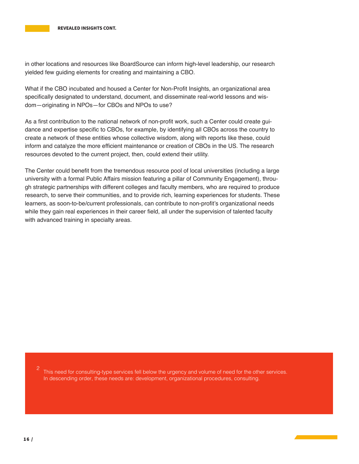in other locations and resources like BoardSource can inform high-level leadership, our research yielded few guiding elements for creating and maintaining a CBO.

What if the CBO incubated and housed a Center for Non-Profit Insights, an organizational area specifically designated to understand, document, and disseminate real-world lessons and wisdom—originating in NPOs—for CBOs and NPOs to use?

As a first contribution to the national network of non-profit work, such a Center could create guidance and expertise specific to CBOs, for example, by identifying all CBOs across the country to create a network of these entities whose collective wisdom, along with reports like these, could inform and catalyze the more efficient maintenance or creation of CBOs in the US. The research resources devoted to the current project, then, could extend their utility.

The Center could benefit from the tremendous resource pool of local universities (including a large university with a formal Public Affairs mission featuring a pillar of Community Engagement), through strategic partnerships with different colleges and faculty members, who are required to produce research, to serve their communities, and to provide rich, learning experiences for students. These learners, as soon-to-be/current professionals, can contribute to non-profit's organizational needs while they gain real experiences in their career field, all under the supervision of talented faculty with advanced training in specialty areas.

This need for consulting-type services fell below the urgency and volume of need for the other services. In descending order, these needs are: development, organizational procedures, consulting. 2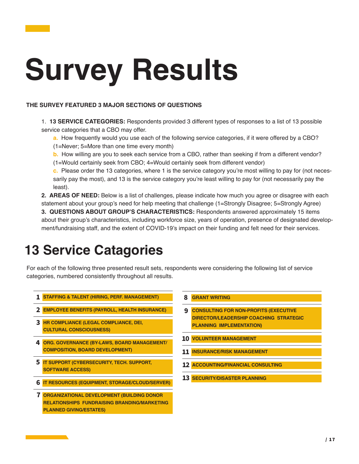# **Survey Results**

#### **THE SURVEY FEATURED 3 MAJOR SECTIONS OF QUESTIONS**

- 1. **13 SERVICE CATEGORIES:** Respondents provided 3 different types of responses to a list of 13 possible service categories that a CBO may offer.
	- **a.** How frequently would you use each of the following service categories, if it were offered by a CBO?
	- (1=Never; 5=More than one time every month)
	- **b.** How willing are you to seek each service from a CBO, rather than seeking if from a different vendor?
	- (1=Would certainly seek from CBO; 4=Would certainly seek from different vendor)
	- **c.** Please order the 13 categories, where 1 is the service category you're most willing to pay for (not necessarily pay the most), and 13 is the service category you're least willing to pay for (not necessarily pay the least).
- **2. AREAS OF NEED:** Below is a list of challenges, please indicate how much you agree or disagree with each statement about your group's need for help meeting that challenge (1=Strongly Disagree; 5=Strongly Agree) **3. QUESTIONS ABOUT GROUP'S CHARACTERISTICS:** Respondents answered approximately 15 items about their group's characteristics, including workforce size, years of operation, presence of designated development/fundraising staff, and the extent of COVID-19's impact on their funding and felt need for their services.

## **13 Service Catagories**

For each of the following three presented result sets, respondents were considering the following list of service categories, numbered consistently throughout all results.

- **• STAFFING & TALENT (HIRING, PERF. MANAGEMENT) 1**
- **• EMPLOYEE BENEFITS (PAYROLL, HEALTH INSURANCE) 2**
- **• HR COMPLIANCE (LEGAL COMPLIANCE, DEI, 3 CULTURAL CONSCIOUSNESS)**
- **• ORG. GOVERNANCE (BY-LAWS, BOARD MANAGEMENT/ 4 COMPOSITION, BOARD DEVELOPMENT)**
- **• IT SUPPORT (CYBERSECURITY, TECH. SUPPORT, 5 SOFTWARE ACCESS)**
- **• IT RESOURCES (EQUIPMENT, STORAGE/CLOUD/SERVER) 6**
- **• ORGANIZATIONAL DEVELOPMENT (BUILDING DONOR 7 RELATIONSHIPS FUNDRAISING BRANDING/MARKETING PLANNED GIVING/ESTATES)**
- **• GRANT WRITING 8**
- **• CONSULTING FOR NON-PROFITS (EXECUTIVE DIRECTOR/LEADERSHIP COACHING STRATEGIC PLANNING IMPLEMENTATION) 9**
- **• VOLUNTEER MANAGEMENT 10**
- **• INSURANCE/RISK MANAGEMENT 11**
- **• ACCOUNTING/FINANCIAL CONSULTING 12**
- **• SECURITY/DISASTER PLANNING 13**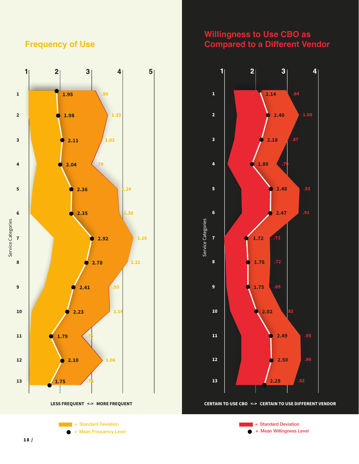#### **Frequency of Use**









**LESS FREQUENT <-> MORE FREQUENT CERTAIN TO USE CBO <-> CERTAIN TO USE DIFFERENT VENDOR**

= Mean Frequency Level **and Contract Contract Contract Contract Contract Contract Contract Contract Contract Contract Contract Contract Contract Contract Contract Contract Contract Contract Contract Contract Contract Cont**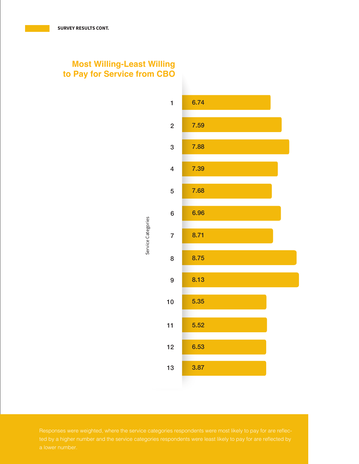### **Most Willing-Least Willing to Pay for Service from CBO**

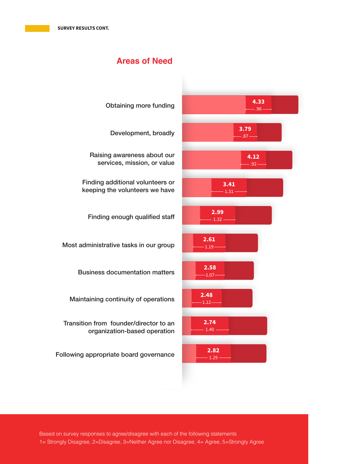### **Areas of Need**

| <b>Obtaining more funding</b>                                          | 4.33<br>$-0.96 -$ |
|------------------------------------------------------------------------|-------------------|
| Development, broadly                                                   | 3.79<br>$-0.87 -$ |
| Raising awareness about our<br>services, mission, or value             | 4.12<br>$.92 -$   |
| Finding additional volunteers or<br>keeping the volunteers we have     | 3.41<br>$1.31 -$  |
| Finding enough qualified staff                                         | 2.99<br>$1.32 -$  |
| Most administrative tasks in our group                                 | 2.61<br>$1.19 -$  |
| <b>Business documentation matters</b>                                  | 2.58<br>$-1.07-$  |
| Maintaining continuity of operations                                   | 2.48<br>$-1.12-$  |
| Transition from founder/director to an<br>organization-based operation | 2.74<br>1.40      |
| Following appropriate board governance                                 | 2.82<br>1.29      |
|                                                                        |                   |

Based on survey responses to agree/disagree with each of the following statements 1= Strongly Disagree, 2=Disagree, 3=Neither Agree nor Disagree, 4= Agree, 5=Strongly Agree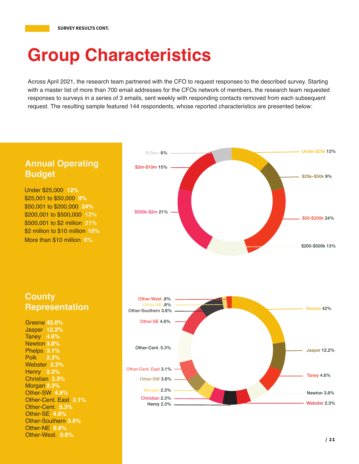## **Group Characteristics**

Across April 2021, the research team partnered with the CFO to request responses to the described survey. Starting with a master list of more than 700 email addresses for the CFOs network of members, the research team requested responses to surveys in a series of 3 emails, sent weekly with responding contacts removed from each subsequent request. The resulting sample featured 144 respondents, whose reported characteristics are presented below:

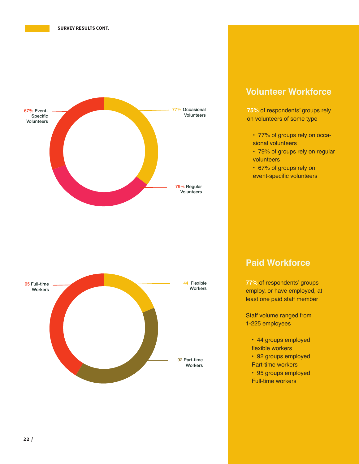



#### **Volunteer Workforce**

**75%** of respondents' groups rely on volunteers of some type

- 77% of groups rely on occasional volunteers
- 79% of groups rely on regular volunteers
- 67% of groups rely on event-specific volunteers

**Paid Workforce**

**77%** of respondents' groups employ, or have employed, at least one paid staff member

Staff volume ranged from 1-225 employees

- 44 groups employed flexible workers
- 
- 92 groups employed Part-time workers
- 95 groups employed Full-time workers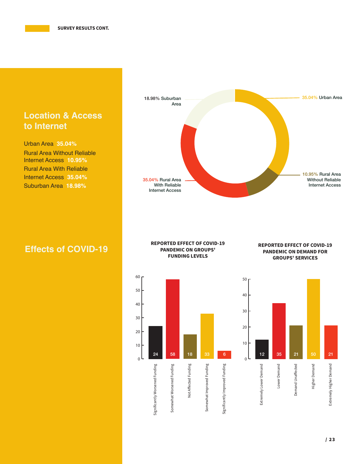## **Location & Access to Internet**

Urban Area **35.04%** Rural Area Without Reliable Internet Access **10.95%** Rural Area With Reliable Internet Access **35.04%** Suburban Area **18.98%**



## **Effects of COVID-19**

#### **REPORTED EFFECT OF COVID-19 PANDEMIC ON GROUPS' FUNDING LEVELS**